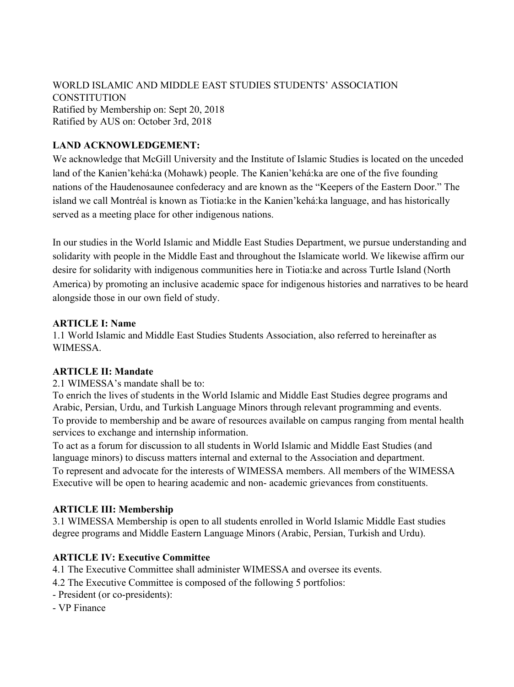WORLD ISLAMIC AND MIDDLE EAST STUDIES STUDENTS' ASSOCIATION **CONSTITUTION** Ratified by Membership on: Sept 20, 2018 Ratified by AUS on: October 3rd, 2018

## **LAND ACKNOWLEDGEMENT:**

We acknowledge that McGill University and the Institute of Islamic Studies is located on the unceded land of the Kanien'kehá:ka (Mohawk) people. The Kanien'kehá:ka are one of the five founding nations of the Haudenosaunee confederacy and are known as the "Keepers of the Eastern Door." The island we call Montréal is known as Tiotia:ke in the Kanien'kehá:ka language, and has historically served as a meeting place for other indigenous nations.

In our studies in the World Islamic and Middle East Studies Department, we pursue understanding and solidarity with people in the Middle East and throughout the Islamicate world. We likewise affirm our desire for solidarity with indigenous communities here in Tiotia:ke and across Turtle Island (North America) by promoting an inclusive academic space for indigenous histories and narratives to be heard alongside those in our own field of study.

#### **ARTICLE I: Name**

1.1 World Islamic and Middle East Studies Students Association, also referred to hereinafter as WIMESSA.

### **ARTICLE II: Mandate**

#### 2.1 WIMESSA's mandate shall be to:

To enrich the lives of students in the World Islamic and Middle East Studies degree programs and Arabic, Persian, Urdu, and Turkish Language Minors through relevant programming and events. To provide to membership and be aware of resources available on campus ranging from mental health services to exchange and internship information.

To act as a forum for discussion to all students in World Islamic and Middle East Studies (and language minors) to discuss matters internal and external to the Association and department. To represent and advocate for the interests of WIMESSA members. All members of the WIMESSA Executive will be open to hearing academic and non- academic grievances from constituents.

### **ARTICLE III: Membership**

3.1 WIMESSA Membership is open to all students enrolled in World Islamic Middle East studies degree programs and Middle Eastern Language Minors (Arabic, Persian, Turkish and Urdu).

### **ARTICLE IV: Executive Committee**

4.1 The Executive Committee shall administer WIMESSA and oversee its events.

- 4.2 The Executive Committee is composed of the following 5 portfolios:
- President (or co-presidents):
- VP Finance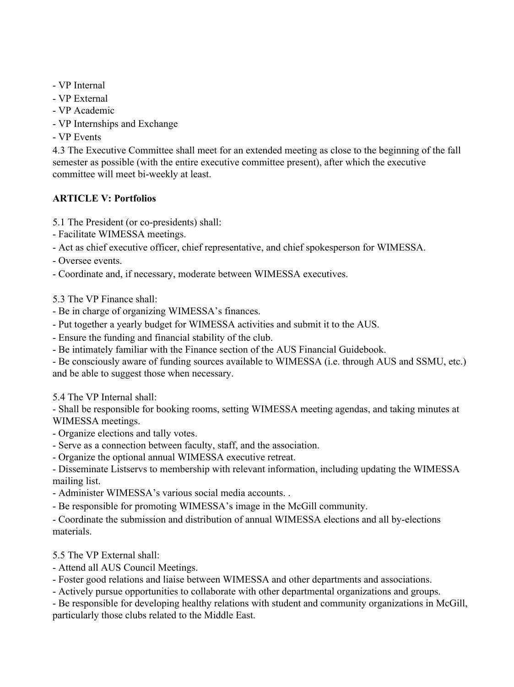- VP Internal
- VP External
- VP Academic
- VP Internships and Exchange
- VP Events

4.3 The Executive Committee shall meet for an extended meeting as close to the beginning of the fall semester as possible (with the entire executive committee present), after which the executive committee will meet bi-weekly at least.

# **ARTICLE V: Portfolios**

- 5.1 The President (or co-presidents) shall:
- Facilitate WIMESSA meetings.
- Act as chief executive officer, chief representative, and chief spokesperson for WIMESSA.
- Oversee events.
- Coordinate and, if necessary, moderate between WIMESSA executives.
- 5.3 The VP Finance shall:
- Be in charge of organizing WIMESSA's finances.
- Put together a yearly budget for WIMESSA activities and submit it to the AUS.
- Ensure the funding and financial stability of the club.
- Be intimately familiar with the Finance section of the AUS Financial Guidebook.
- Be consciously aware of funding sources available to WIMESSA (i.e. through AUS and SSMU, etc.) and be able to suggest those when necessary.
- 5.4 The VP Internal shall:

- Shall be responsible for booking rooms, setting WIMESSA meeting agendas, and taking minutes at WIMESSA meetings.

- Organize elections and tally votes.
- Serve as a connection between faculty, staff, and the association.
- Organize the optional annual WIMESSA executive retreat.

- Disseminate Listservs to membership with relevant information, including updating the WIMESSA mailing list.

- Administer WIMESSA's various social media accounts. .
- Be responsible for promoting WIMESSA's image in the McGill community.

- Coordinate the submission and distribution of annual WIMESSA elections and all by-elections materials.

- 5.5 The VP External shall:
- Attend all AUS Council Meetings.
- Foster good relations and liaise between WIMESSA and other departments and associations.
- Actively pursue opportunities to collaborate with other departmental organizations and groups.

- Be responsible for developing healthy relations with student and community organizations in McGill, particularly those clubs related to the Middle East.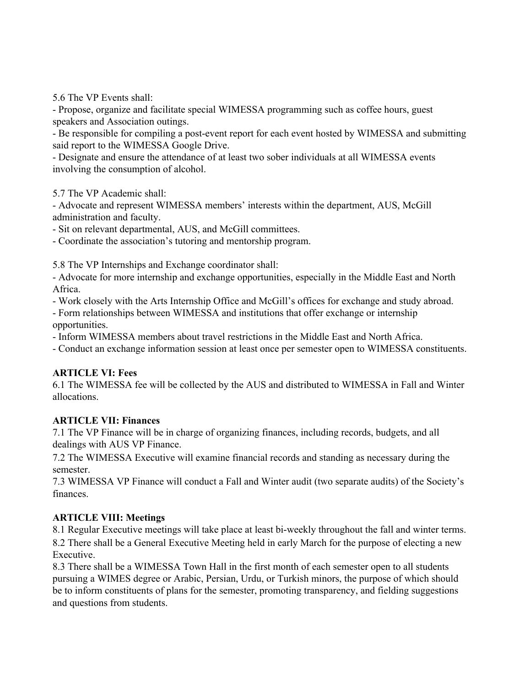5.6 The VP Events shall:

- Propose, organize and facilitate special WIMESSA programming such as coffee hours, guest speakers and Association outings.

- Be responsible for compiling a post-event report for each event hosted by WIMESSA and submitting said report to the WIMESSA Google Drive.

- Designate and ensure the attendance of at least two sober individuals at all WIMESSA events involving the consumption of alcohol.

5.7 The VP Academic shall:

- Advocate and represent WIMESSA members' interests within the department, AUS, McGill administration and faculty.

- Sit on relevant departmental, AUS, and McGill committees.

- Coordinate the association's tutoring and mentorship program.

5.8 The VP Internships and Exchange coordinator shall:

- Advocate for more internship and exchange opportunities, especially in the Middle East and North Africa.

- Work closely with the Arts Internship Office and McGill's offices for exchange and study abroad.

- Form relationships between WIMESSA and institutions that offer exchange or internship opportunities.

- Inform WIMESSA members about travel restrictions in the Middle East and North Africa.

- Conduct an exchange information session at least once per semester open to WIMESSA constituents.

### **ARTICLE VI: Fees**

6.1 The WIMESSA fee will be collected by the AUS and distributed to WIMESSA in Fall and Winter allocations.

### **ARTICLE VII: Finances**

7.1 The VP Finance will be in charge of organizing finances, including records, budgets, and all dealings with AUS VP Finance.

7.2 The WIMESSA Executive will examine financial records and standing as necessary during the semester.

7.3 WIMESSA VP Finance will conduct a Fall and Winter audit (two separate audits) of the Society's finances.

### **ARTICLE VIII: Meetings**

8.1 Regular Executive meetings will take place at least bi-weekly throughout the fall and winter terms. 8.2 There shall be a General Executive Meeting held in early March for the purpose of electing a new Executive.

8.3 There shall be a WIMESSA Town Hall in the first month of each semester open to all students pursuing a WIMES degree or Arabic, Persian, Urdu, or Turkish minors, the purpose of which should be to inform constituents of plans for the semester, promoting transparency, and fielding suggestions and questions from students.